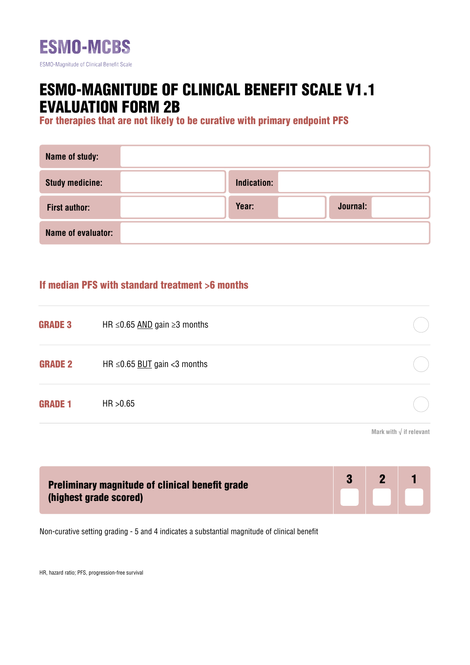

# ESMO-MAGNITUDE OF CLINICAL BENEFIT SCALE V1.1 EVALUATION FORM 2B

For therapies that are not likely to be curative with primary endpoint PFS

| Name of study:         |             |          |  |
|------------------------|-------------|----------|--|
| <b>Study medicine:</b> | Indication: |          |  |
| <b>First author:</b>   | Year:       | Journal: |  |
| Name of evaluator:     |             |          |  |

### If median PFS with standard treatment >6 months

| HR $\leq$ 0.65 AND gain $\geq$ 3 months |  |
|-----------------------------------------|--|
| HR $\leq$ 0.65 BUT gain <3 months       |  |
| HR > 0.65                               |  |
|                                         |  |

**Mark with √ if relevant**

| <b>Preliminary magnitude of clinical benefit grade</b> |  | $\mathbf{P}$ |  |
|--------------------------------------------------------|--|--------------|--|
| (highest grade scored)                                 |  |              |  |

Non-curative setting grading - 5 and 4 indicates a substantial magnitude of clinical benefit

HR, hazard ratio; PFS, progression-free survival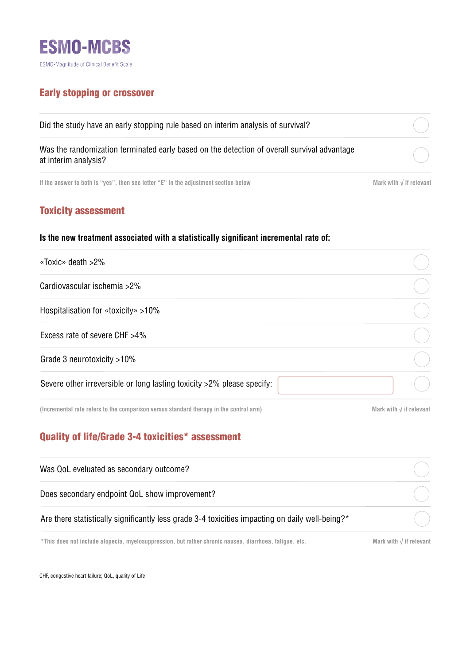

## Early stopping or crossover

| Did the study have an early stopping rule based on interim analysis of survival?                                    |  |
|---------------------------------------------------------------------------------------------------------------------|--|
| Was the randomization terminated early based on the detection of overall survival advantage<br>at interim analysis? |  |
|                                                                                                                     |  |

**If the answer to both is "yes", then see letter "E" in the adjustment section below Mark with √ if relevant**

# Toxicity assessment

#### **Is the new treatment associated with a statistically significant incremental rate of:**

| «Toxic» death >2%                                                      |  |
|------------------------------------------------------------------------|--|
| Cardiovascular ischemia >2%                                            |  |
| Hospitalisation for «toxicity» >10%                                    |  |
| Excess rate of severe CHF >4%                                          |  |
| Grade 3 neurotoxicity >10%                                             |  |
| Severe other irreversible or long lasting toxicity >2% please specify: |  |

**(Incremental rate refers to the comparison versus standard therapy in the control arm)**

**Mark with √ if relevant**

# Quality of life/Grade 3-4 toxicities\* assessment

| Was QoL eveluated as secondary outcome?                                                                |                                  |
|--------------------------------------------------------------------------------------------------------|----------------------------------|
| Does secondary endpoint QoL show improvement?                                                          |                                  |
| Are there statistically significantly less grade 3-4 toxicities impacting on daily well-being?*        |                                  |
| *This does not include alopecia, myelosuppression, but rather chronic nausea, diarrhoea, fatique, etc. | Mark with $\sqrt{ }$ if relevant |

CHF, congestive heart failure; QoL, quality of Life